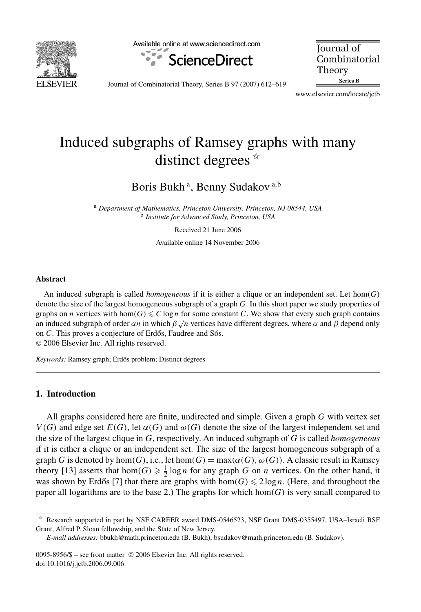

Available online at www.sciencedirect.com



**Journal** of Combinatorial Theory Series B

Journal of Combinatorial Theory, Series B 97 (2007) 612–619

www.elsevier.com/locate/jctb

# Induced subgraphs of Ramsey graphs with many distinct degrees  $*$

Boris Bukh <sup>a</sup> , Benny Sudakov <sup>a</sup>*,*<sup>b</sup>

<sup>a</sup> *Department of Mathematics, Princeton University, Princeton, NJ 08544, USA* <sup>b</sup> *Institute for Advanced Study, Princeton, USA*

Received 21 June 2006

Available online 14 November 2006

#### **Abstract**

An induced subgraph is called *homogeneous* if it is either a clique or an independent set. Let hom*(G)* denote the size of the largest homogeneous subgraph of a graph *G*. In this short paper we study properties of graphs on *n* vertices with  $hom(G) \leq C \log n$  for some constant *C*. We show that every such graph contains an induced subgraph of order *αn* in which *β* <sup>√</sup>*<sup>n</sup>* vertices have different degrees, where *<sup>α</sup>* and *<sup>β</sup>* depend only on *C*. This proves a conjecture of Erdős, Faudree and Sós.

© 2006 Elsevier Inc. All rights reserved.

Keywords: Ramsey graph; Erdős problem; Distinct degrees

## **1. Introduction**

All graphs considered here are finite, undirected and simple. Given a graph *G* with vertex set  $V(G)$  and edge set  $E(G)$ , let  $\alpha(G)$  and  $\omega(G)$  denote the size of the largest independent set and the size of the largest clique in *G*, respectively. An induced subgraph of *G* is called *homogeneous* if it is either a clique or an independent set. The size of the largest homogeneous subgraph of a graph *G* is denoted by hom $(G)$ , i.e., let hom $(G) = \max(\alpha(G), \omega(G))$ . A classic result in Ramsey theory [13] asserts that  $hom(G) \ge \frac{1}{2} \log n$  for any graph *G* on *n* vertices. On the other hand, it was shown by Erdős [7] that there are graphs with  $hom(G) \leq 2 \log n$ . (Here, and throughout the paper all logarithms are to the base 2.) The graphs for which  $hom(G)$  is very small compared to

0095-8956/\$ – see front matter © 2006 Elsevier Inc. All rights reserved. doi:10.1016/j.jctb.2006.09.006

 $\hat{\tau}$  Research supported in part by NSF CAREER award DMS-0546523, NSF Grant DMS-0355497, USA–Israeli BSF Grant, Alfred P. Sloan fellowship, and the State of New Jersey.

*E-mail addresses:* bbukh@math.princeton.edu (B. Bukh), bsudakov@math.princeton.edu (B. Sudakov).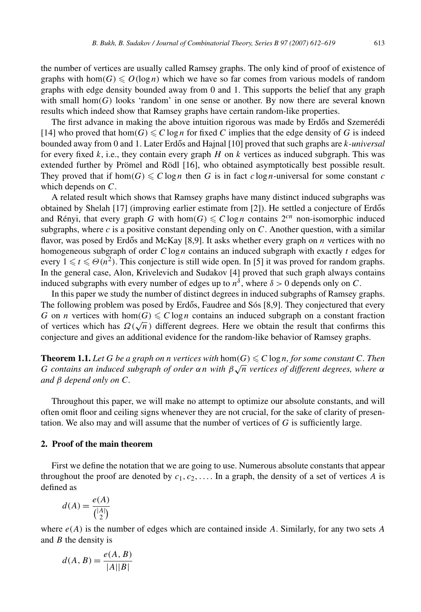the number of vertices are usually called Ramsey graphs. The only kind of proof of existence of graphs with  $hom(G) \leqslant O(log n)$  which we have so far comes from various models of random graphs with edge density bounded away from 0 and 1. This supports the belief that any graph with small  $hom(G)$  looks 'random' in one sense or another. By now there are several known results which indeed show that Ramsey graphs have certain random-like properties.

The first advance in making the above intuition rigorous was made by Erdős and Szemerédi [14] who proved that  $hom(G) \leq C \log n$  for fixed *C* implies that the edge density of *G* is indeed bounded away from 0 and 1. Later Erdős and Hajnal [10] proved that such graphs are *k*-*universal* for every fixed  $k$ , i.e., they contain every graph  $H$  on  $k$  vertices as induced subgraph. This was extended further by Prömel and Rödl [16], who obtained asymptotically best possible result. They proved that if  $hom(G) \leq C \log n$  then *G* is in fact *c* log *n*-universal for some constant *c* which depends on *C*.

A related result which shows that Ramsey graphs have many distinct induced subgraphs was obtained by Shelah [17] (improving earlier estimate from [2]). He settled a conjecture of Erdős and Rényi, that every graph *G* with  $hom(G) \leq C \log n$  contains  $2^{cn}$  non-isomorphic induced subgraphs, where *c* is a positive constant depending only on *C*. Another question, with a similar flavor, was posed by Erdős and McKay [8,9]. It asks whether every graph on *n* vertices with no homogeneous subgraph of order *C* log *n* contains an induced subgraph with exactly *t* edges for every  $1 \leq t \leq \Theta(n^2)$ . This conjecture is still wide open. In [5] it was proved for random graphs. In the general case, Alon, Krivelevich and Sudakov [4] proved that such graph always contains induced subgraphs with every number of edges up to  $n^{\delta}$ , where  $\delta > 0$  depends only on *C*.

In this paper we study the number of distinct degrees in induced subgraphs of Ramsey graphs. The following problem was posed by Erdős, Faudree and Sós [8,9]. They conjectured that every *G* on *n* vertices with  $hom(G) \leq C \log n$  contains an induced subgraph on a constant fraction of vertices which has  $\Omega(\sqrt{n})$  different degrees. Here we obtain the result that confirms this conjecture and gives an additional evidence for the random-like behavior of Ramsey graphs.

**Theorem 1.1.** Let G be a graph on *n* vertices with  $hom(G) \leq C \log n$ , for some constant C. Then *G contains an induced subgraph of order α n with β* <sup>√</sup>*<sup>n</sup> vertices of different degrees, where <sup>α</sup> and β depend only on C.*

Throughout this paper, we will make no attempt to optimize our absolute constants, and will often omit floor and ceiling signs whenever they are not crucial, for the sake of clarity of presentation. We also may and will assume that the number of vertices of *G* is sufficiently large.

## **2. Proof of the main theorem**

First we define the notation that we are going to use. Numerous absolute constants that appear throughout the proof are denoted by  $c_1, c_2, \ldots$ . In a graph, the density of a set of vertices *A* is defined as

$$
d(A) = \frac{e(A)}{\binom{|A|}{2}}
$$

where  $e(A)$  is the number of edges which are contained inside A. Similarly, for any two sets A and *B* the density is

$$
d(A, B) = \frac{e(A, B)}{|A||B|}
$$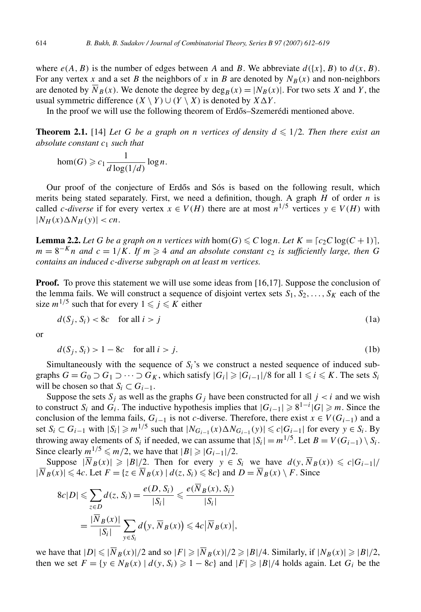where  $e(A, B)$  is the number of edges between A and B. We abbreviate  $d({x}, B)$  to  $d(x, B)$ . For any vertex *x* and a set *B* the neighbors of *x* in *B* are denoted by  $N_B(x)$  and non-neighbors are denoted by  $\overline{N}_B(x)$ . We denote the degree by deg<sub>*B(x)* = | $N_B(x)$ |. For two sets *X* and *Y*, the</sub> usual symmetric difference  $(X \setminus Y) \cup (Y \setminus X)$  is denoted by  $X \Delta Y$ .

In the proof we will use the following theorem of Erdős–Szemerédi mentioned above.

**Theorem 2.1.** [14] *Let G be a* graph on *n* vertices of density  $d \leq 1/2$ . Then there exist an *absolute constant c*<sup>1</sup> *such that*

$$
\hom(G) \geqslant c_1 \frac{1}{d \log(1/d)} \log n.
$$

Our proof of the conjecture of Erdős and Sós is based on the following result, which merits being stated separately. First, we need a definition, though. A graph *H* of order *n* is called *c*-*diverse* if for every vertex  $x \in V(H)$  there are at most  $n^{1/5}$  vertices  $y \in V(H)$  with  $|N_H(x) \Delta N_H(y)| < cn$ .

**Lemma 2.2.** *Let G be a graph on n vertices with*  $hom(G) \leq C \log n$ *. Let*  $K = \lceil c_2 C \log(C + 1) \rceil$ *,*  $m = 8^{-K}n$  *and*  $c = 1/K$ *. If*  $m \geq 4$  *and an absolute constant*  $c_2$  *is sufficiently large, then G contains an induced c-diverse subgraph on at least m vertices.*

**Proof.** To prove this statement we will use some ideas from [16,17]. Suppose the conclusion of the lemma fails. We will construct a sequence of disjoint vertex sets  $S_1, S_2, \ldots, S_K$  each of the size  $m^{1/5}$  such that for every  $1 \leqslant j \leqslant K$  either

$$
d(S_j, S_i) < 8c \quad \text{for all } i > j \tag{1a}
$$

or

$$
d(S_j, S_i) > 1 - 8c \quad \text{for all } i > j. \tag{1b}
$$

Simultaneously with the sequence of  $S_i$ 's we construct a nested sequence of induced subgraphs  $G = G_0 \supset G_1 \supset \cdots \supset G_K$ , which satisfy  $|G_i| \geqslant |G_{i-1}|/8$  for all  $1 \leqslant i \leqslant K$ . The sets  $S_i$ will be chosen so that  $S_i \subset G_{i-1}$ .

Suppose the sets  $S_j$  as well as the graphs  $G_j$  have been constructed for all  $j < i$  and we wish to construct *S<sub>i</sub>* and  $G_i$ . The inductive hypothesis implies that  $|G_{i-1}| \geq 8^{1-i} |G| \geq m$ . Since the conclusion of the lemma fails,  $G_{i-1}$  is not *c*-diverse. Therefore, there exist  $x \in V(G_{i-1})$  and a set *S<sub>i</sub>* ⊂ *G<sub>i−1</sub>* with  $|S_i|$  ≥  $m^{1/5}$  such that  $|N_{G_{i-1}}(x) \Delta N_{G_{i-1}}(y)| \leq c|G_{i-1}|$  for every  $y \in S_i$ . By throwing away elements of *S<sub>i</sub>* if needed, we can assume that  $|S_i| = m^{1/5}$ . Let  $B = V(G_{i-1}) \setminus S_i$ . Since clearly  $m^{1/5} \le m/2$ , we have that  $|B| \ge |G_{i-1}|/2$ .

Suppose  $|\overline{N}_B(x)| \geq |B|/2$ . Then for every  $y \in S_i$  we have  $d(y, \overline{N}_B(x)) \leq c|G_{i-1}|/2$  $|\overline{N}_B(x)| \leq 4c$ . Let  $F = \{z \in \overline{N}_B(x) \mid d(z, S_i) \leq 8c\}$  and  $D = \overline{N}_B(x) \setminus F$ . Since

$$
8c|D| \leqslant \sum_{z \in D} d(z, S_i) = \frac{e(D, S_i)}{|S_i|} \leqslant \frac{e(N_B(x), S_i)}{|S_i|}
$$

$$
= \frac{|\overline{N}_B(x)|}{|S_i|} \sum_{y \in S_i} d(y, \overline{N}_B(x)) \leqslant 4c |\overline{N}_B(x)|,
$$

we have that  $|D| \le |\overline{N}_B(x)|/2$  and so  $|F| \ge |\overline{N}_B(x)|/2 \ge |B|/4$ . Similarly, if  $|N_B(x)| \ge |B|/2$ , then we set  $F = \{y \in N_B(x) \mid d(y, S_i) \ge 1 - 8c\}$  and  $|F| \ge |B|/4$  holds again. Let  $G_i$  be the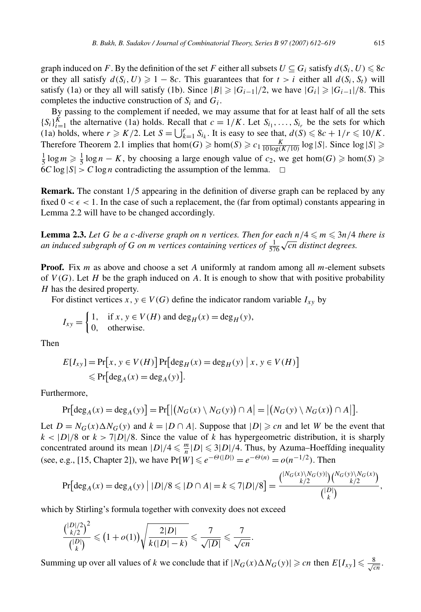graph induced on *F*. By the definition of the set *F* either all subsets  $U \subseteq G_i$  satisfy  $d(S_i, U) \leq 8c$ or they all satisfy  $d(S_i, U) \geq 1 - 8c$ . This guarantees that for  $t > i$  either all  $d(S_i, S_t)$  will satisfy (1a) or they all will satisfy (1b). Since  $|B| \ge |G_{i-1}|/2$ , we have  $|G_i| \ge |G_{i-1}|/8$ . This completes the inductive construction of  $S_i$  and  $G_i$ .

By passing to the complement if needed, we may assume that for at least half of all the sets  ${S_i}_{i=1}^K$  the alternative (1a) holds. Recall that  $c = 1/K$ . Let  $S_{i_1}, \ldots, S_{i_r}$  be the sets for which  $(1a)$  holds, where  $r \ge K/2$ . Let  $S = \bigcup_{k=1}^{r} S_{i_k}$ . It is easy to see that,  $d(S) \le 8c + 1/r \le 10/K$ . Therefore Theorem 2.1 implies that  $hom(G) \geqslant hom(S) \geqslant c_1 \frac{K}{10 \log(K/10)} \log |S|$ . Since  $\log |S| \geqslant$  $\frac{1}{5}$ log  $m \ge \frac{1}{5}$ log  $n - K$ , by choosing a large enough value of *c*<sub>2</sub>, we get hom $(G) \ge \text{hom}(S) \ge$  $6C \log |S| > C \log n$  contradicting the assumption of the lemma.  $\Box$ 

**Remark.** The constant 1*/*5 appearing in the definition of diverse graph can be replaced by any fixed  $0 < \epsilon < 1$ . In the case of such a replacement, the (far from optimal) constants appearing in Lemma 2.2 will have to be changed accordingly.

**Lemma 2.3.** Let G be a c-diverse graph on *n* vertices. Then for each  $n/4 \leq m \leq 3n/4$  there is **an induced subgraph of G** on *m* vertices containing vertices of  $\frac{1}{576}\sqrt{cn}$  distinct degrees.

**Proof.** Fix *m* as above and choose a set *A* uniformly at random among all *m*-element subsets of  $V(G)$ . Let *H* be the graph induced on *A*. It is enough to show that with positive probability *H* has the desired property.

For distinct vertices  $x, y \in V(G)$  define the indicator random variable  $I_{xy}$  by

$$
I_{xy} = \begin{cases} 1, & \text{if } x, y \in V(H) \text{ and } \deg_H(x) = \deg_H(y), \\ 0, & \text{otherwise.} \end{cases}
$$

Then

$$
E[I_{xy}] = Pr[x, y \in V(H)] Pr[degH(x) = degH(y) | x, y \in V(H)]
$$
  
 
$$
\leq Pr[degA(x) = degA(y)].
$$

Furthermore,

$$
\Pr[\deg_A(x) = \deg_A(y)] = \Pr[|(N_G(x) \setminus N_G(y)) \cap A| = |(N_G(y) \setminus N_G(x)) \cap A|].
$$

Let  $D = N_G(x) \Delta N_G(y)$  and  $k = |D \cap A|$ . Suppose that  $|D| \geq cn$  and let *W* be the event that  $k < |D|/8$  or  $k > 7|D|/8$ . Since the value of *k* has hypergeometric distribution, it is sharply concentrated around its mean  $|D|/4 \leq \frac{m}{n}|D| \leq 3|D|/4$ . Thus, by Azuma–Hoeffding inequality  $(\text{see, e.g., } [15, \text{Chapter 2}])$ , we have  $\Pr[W] \leq e^{-\Theta(|D|)} = e^{-\Theta(n)} = o(n^{-1/2})$ . Then

$$
\Pr[\deg_A(x) = \deg_A(y) \mid |D|/8 \leq |D \cap A| = k \leq 7|D|/8] = \frac{\binom{|N_G(x) \setminus N_G(y)|}{k/2} \binom{N_G(y) \setminus N_G(x)}{k/2}}{\binom{|D|}{k}},
$$

which by Stirling's formula together with convexity does not exceed

$$
\frac{{|D|/2 \choose k/2}^2}{{|D| \choose k}} \leq (1+o(1))\sqrt{\frac{2|D|}{k(|D|-k)}} \leq \frac{7}{\sqrt{|D|}} \leq \frac{7}{\sqrt{cn}}.
$$

Summing up over all values of *k* we conclude that if  $|N_G(x) \Delta N_G(y)| \ge cn$  then  $E[I_{xy}] \le \frac{8}{\sqrt{cn}}$ .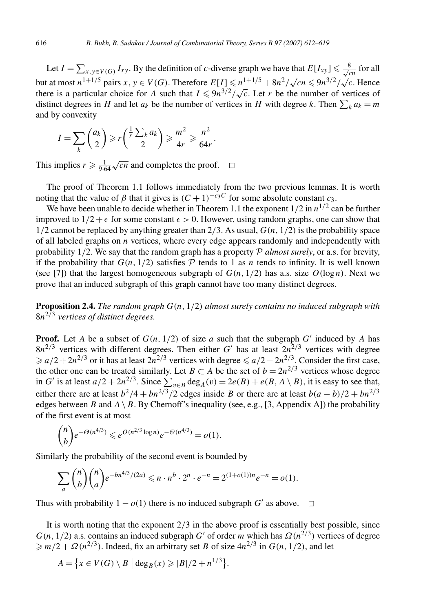Let  $I = \sum_{x,y \in V(G)} I_{xy}$ . By the definition of *c*-diverse graph we have that  $E[I_{xy}] \le \frac{8}{\sqrt{cn}}$  for all but at most  $n^{1+1/5}$  pairs  $x, y \in V(G)$ . Therefore  $E[I] \leq n^{1+1/5} + 8n^2/\sqrt{cn} \leq 9n^{3/2}/\sqrt{c}$ . Hence there is a particular choice for *A* such that  $I \leq 9n^{3/2}/\sqrt{c}$ . Let *r* be the number of vertices of there is a particular choice for *A* such that  $I \leq 9n^{3/2}/\sqrt{c}$ . Let *r* be the number of vertices of distinct degrees in *H* and let  $a_k$  be the number of vertices in *H* with degree *k*. Then  $\sum_k a_k = m$ and by convexity

$$
I = \sum_{k} {a_k \choose 2} \geqslant r \left( \frac{1}{r} \sum_{k} a_k \right) \geqslant \frac{m^2}{4r} \geqslant \frac{n^2}{64r}.
$$

This implies  $r \ge \frac{1}{9.64} \sqrt{cn}$  and completes the proof.  $\Box$ 

The proof of Theorem 1.1 follows immediately from the two previous lemmas. It is worth noting that the value of  $\beta$  that it gives is  $(C + 1)^{-c_3 C}$  for some absolute constant  $c_3$ .

We have been unable to decide whether in Theorem 1.1 the exponent  $1/2$  in  $n^{1/2}$  can be further improved to  $1/2 + \epsilon$  for some constant  $\epsilon > 0$ . However, using random graphs, one can show that 1*/*2 cannot be replaced by anything greater than 2*/*3. As usual, *G(n,* 1*/*2*)* is the probability space of all labeled graphs on *n* vertices, where every edge appears randomly and independently with probability 1*/*2. We say that the random graph has a property P *almost surely*, or a.s. for brevity, if the probability that  $G(n, 1/2)$  satisfies  $P$  tends to 1 as *n* tends to infinity. It is well known (see [7]) that the largest homogeneous subgraph of  $G(n, 1/2)$  has a.s. size  $O(log n)$ . Next we prove that an induced subgraph of this graph cannot have too many distinct degrees.

**Proposition 2.4.** *The random graph G(n,* 1*/*2*) almost surely contains no induced subgraph with* 8*n*2*/*<sup>3</sup> *vertices of distinct degrees.*

**Proof.** Let *A* be a subset of  $G(n, 1/2)$  of size *a* such that the subgraph  $G'$  induced by *A* has  $8n^{2/3}$  vertices with different degrees. Then either *G'* has at least  $2n^{2/3}$  vertices with degree  $\geq a/2 + 2n^{2/3}$  or it has at least  $2n^{2/3}$  vertices with degree  $\leq a/2 - 2n^{2/3}$ . Consider the first case, the other one can be treated similarly. Let *B*  $\subset$  *A* be the set of *b* = 2*n*<sup>2/3</sup> vertices whose degree in *G'* is at least  $a/2 + 2n^{2/3}$ . Since  $\sum_{v \in B} \deg_A(v) = 2e(B) + e(B, A \setminus B)$ , it is easy to see that, either there are at least  $b^2/4 + bn^{2/3}/2$  edges inside *B* or there are at least  $b(a - b)/2 + bn^{2/3}$ edges between *B* and  $A \setminus B$ . By Chernoff's inequality (see, e.g., [3, Appendix A]) the probability of the first event is at most

$$
\binom{n}{b} e^{-\Theta(n^{4/3})} \leq e^{O(n^{2/3}\log n)} e^{-\Theta(n^{4/3})} = o(1).
$$

Similarly the probability of the second event is bounded by

$$
\sum_{a} \binom{n}{b} \binom{n}{a} e^{-bn^{4/3}/(2a)} \leqslant n \cdot n^b \cdot 2^n \cdot e^{-n} = 2^{(1+o(1))n} e^{-n} = o(1).
$$

Thus with probability  $1 - o(1)$  there is no induced subgraph *G'* as above.  $\Box$ 

It is worth noting that the exponent 2*/*3 in the above proof is essentially best possible, since  $G(n, 1/2)$  a.s. contains an induced subgraph *G'* of order *m* which has  $\Omega(n^{2/3})$  vertices of degree  $\geq m/2 + \Omega(n^{2/3})$ . Indeed, fix an arbitrary set *B* of size  $4n^{2/3}$  in  $G(n, 1/2)$ , and let

$$
A = \{x \in V(G) \setminus B \mid \deg_B(x) \geqslant |B|/2 + n^{1/3}\}.
$$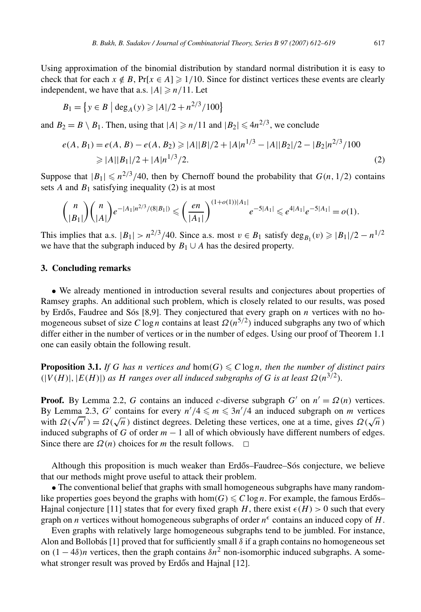Using approximation of the binomial distribution by standard normal distribution it is easy to check that for each  $x \notin B$ , Pr[ $x \in A$ ]  $\geq 1/10$ . Since for distinct vertices these events are clearly independent, we have that a.s.  $|A| \ge n/11$ . Let

$$
B_1 = \{ y \in B \mid \deg_A(y) \geq |A|/2 + n^{2/3}/100 \}
$$

and  $B_2 = B \setminus B_1$ . Then, using that  $|A| \ge n/11$  and  $|B_2| \le 4n^{2/3}$ , we conclude

$$
e(A, B_1) = e(A, B) - e(A, B_2) \ge |A||B|/2 + |A|n^{1/3} - |A||B_2|/2 - |B_2|n^{2/3}/100
$$
  
\n
$$
\ge |A||B_1|/2 + |A|n^{1/3}/2.
$$
 (2)

Suppose that  $|B_1| \le n^{2/3}/40$ , then by Chernoff bound the probability that  $G(n, 1/2)$  contains sets  $A$  and  $B_1$  satisfying inequality (2) is at most

$$
\binom{n}{|B_1|}\binom{n}{|A|}e^{-|A_1|n^{2/3}/(8|B_1|)} \leqslant \left(\frac{en}{|A_1|}\right)^{(1+o(1))|A_1|}e^{-5|A_1|} \leqslant e^{4|A_1|}e^{-5|A_1|} = o(1).
$$

This implies that a.s.  $|B_1| > n^{2/3}/40$ . Since a.s. most  $v \in B_1$  satisfy deg<sub>*B*1</sub>  $(v) \ge |B_1|/2 - n^{1/2}$ we have that the subgraph induced by  $B_1 \cup A$  has the desired property.

## **3. Concluding remarks**

• We already mentioned in introduction several results and conjectures about properties of Ramsey graphs. An additional such problem, which is closely related to our results, was posed by Erdős, Faudree and Sós [8,9]. They conjectured that every graph on *n* vertices with no homogeneous subset of size *C* log *n* contains at least  $\Omega(n^{5/2})$  induced subgraphs any two of which differ either in the number of vertices or in the number of edges. Using our proof of Theorem 1.1 one can easily obtain the following result.

**Proposition 3.1.** *If G has n vertices and*  $hom(G) \leq C \log n$ *, then the number of distinct pairs*  $(|V(H)|, |E(H)|)$  *as H* ranges over all induced subgraphs of *G is at least*  $\Omega(n^{3/2})$ *.* 

**Proof.** By Lemma 2.2, *G* contains an induced *c*-diverse subgraph *G'* on  $n' = \Omega(n)$  vertices. By Lemma 2.3, *G'* contains for every  $n'/4 \leq m \leq 3n'/4$  an induced subgraph on *m* vertices **By Lemma 2.3, G** contains for every  $n'$  /4  $\le m \le 3n'$  /4 an induced subgraph on *m* vertices with  $Ω(√n') = Ω(√n)$  distinct degrees. Deleting these vertices, one at a time, gives  $Ω(√n)$ induced subgraphs of *G* of order *m* − 1 all of which obviously have different numbers of edges. Since there are  $\Omega(n)$  choices for *m* the result follows.  $\Box$ 

Although this proposition is much weaker than Erdős–Faudree–Sós conjecture, we believe that our methods might prove useful to attack their problem.

• The conventional belief that graphs with small homogeneous subgraphs have many randomlike properties goes beyond the graphs with  $hom(G) \leqslant C \log n$ . For example, the famous Erdős– Hajnal conjecture [11] states that for every fixed graph *H*, there exist  $\epsilon(H) > 0$  such that every graph on *n* vertices without homogeneous subgraphs of order  $n^{\epsilon}$  contains an induced copy of *H*.

Even graphs with relatively large homogeneous subgraphs tend to be jumbled. For instance, Alon and Bollobás [1] proved that for sufficiently small  $\delta$  if a graph contains no homogeneous set on  $(1 - 4\delta)n$  vertices, then the graph contains  $\delta n^2$  non-isomorphic induced subgraphs. A somewhat stronger result was proved by Erdős and Hajnal [12].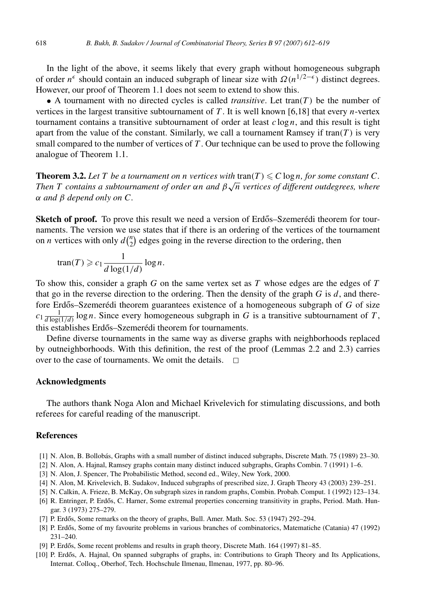In the light of the above, it seems likely that every graph without homogeneous subgraph of order *n*<sup> $\epsilon$ </sup> should contain an induced subgraph of linear size with  $\Omega(n^{1/2-\epsilon})$  distinct degrees. However, our proof of Theorem 1.1 does not seem to extend to show this.

• A tournament with no directed cycles is called *transitive*. Let tran*(T )* be the number of vertices in the largest transitive subtournament of *T* . It is well known [6,18] that every *n*-vertex tournament contains a transitive subtournament of order at least  $c \log n$ , and this result is tight apart from the value of the constant. Similarly, we call a tournament Ramsey if  $tran(T)$  is very small compared to the number of vertices of *T* . Our technique can be used to prove the following analogue of Theorem 1.1.

**Theorem 3.2.** Let T be a tournament on *n* vertices with  $\text{tran}(T) \leq C \log n$ , for some constant C. **Theorem 3.2.** Let *T* be a tournament on *n* vertices with  $tan(T)$  ≤ C logn, for some constant C.<br>Then *T* contains a subtournament of order αn and β√*n* vertices of different outdegrees, where *α and β depend only on C.*

**Sketch of proof.** To prove this result we need a version of Erdős–Szemerédi theorem for tournaments. The version we use states that if there is an ordering of the vertices of the tournament on *n* vertices with only  $d\binom{n}{2}$  $n_2$ ) edges going in the reverse direction to the ordering, then

$$
tran(T) \geqslant c_1 \frac{1}{d \log(1/d)} \log n.
$$

To show this, consider a graph *G* on the same vertex set as *T* whose edges are the edges of *T* that go in the reverse direction to the ordering. Then the density of the graph  $G$  is  $d$ , and therefore Erdős–Szemerédi theorem guarantees existence of a homogeneous subgraph of G of size  $c_1 \frac{1}{d \log(1/d)} \log n$ . Since every homogeneous subgraph in *G* is a transitive subtournament of *T*, this establishes Erdős–Szemerédi theorem for tournaments.

Define diverse tournaments in the same way as diverse graphs with neighborhoods replaced by outneighborhoods. With this definition, the rest of the proof (Lemmas 2.2 and 2.3) carries over to the case of tournaments. We omit the details.  $\Box$ 

#### **Acknowledgments**

The authors thank Noga Alon and Michael Krivelevich for stimulating discussions, and both referees for careful reading of the manuscript.

#### **References**

- [1] N. Alon, B. Bollobás, Graphs with a small number of distinct induced subgraphs, Discrete Math. 75 (1989) 23–30.
- [2] N. Alon, A. Hajnal, Ramsey graphs contain many distinct induced subgraphs, Graphs Combin. 7 (1991) 1–6.
- [3] N. Alon, J. Spencer, The Probabilistic Method, second ed., Wiley, New York, 2000.
- [4] N. Alon, M. Krivelevich, B. Sudakov, Induced subgraphs of prescribed size, J. Graph Theory 43 (2003) 239–251.
- [5] N. Calkin, A. Frieze, B. McKay, On subgraph sizes in random graphs, Combin. Probab. Comput. 1 (1992) 123–134.
- [6] R. Entringer, P. Erdős, C. Harner, Some extremal properties concerning transitivity in graphs, Period. Math. Hungar. 3 (1973) 275–279.
- [7] P. Erdős, Some remarks on the theory of graphs, Bull. Amer. Math. Soc. 53 (1947) 292-294.
- [8] P. Erdős, Some of my favourite problems in various branches of combinatorics, Matematiche (Catania) 47 (1992) 231–240.
- [9] P. Erdős, Some recent problems and results in graph theory, Discrete Math. 164 (1997) 81–85.
- [10] P. Erdős, A. Hajnal, On spanned subgraphs of graphs, in: Contributions to Graph Theory and Its Applications, Internat. Colloq., Oberhof, Tech. Hochschule Ilmenau, Ilmenau, 1977, pp. 80–96.